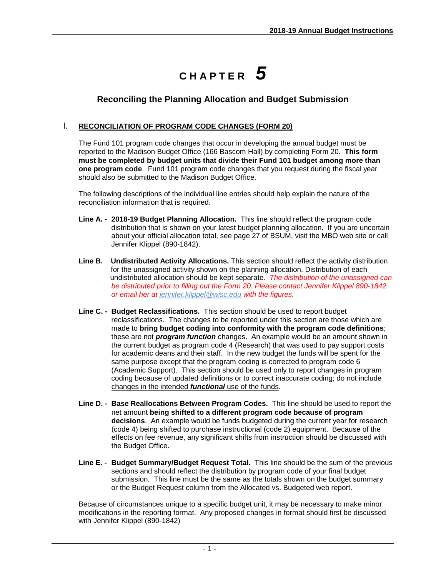## **C H A P T E R** *5*

## **Reconciling the Planning Allocation and Budget Submission**

## I. **RECONCILIATION OF PROGRAM CODE CHANGES (FORM 20)**

The Fund 101 program code changes that occur in developing the annual budget must be reported to the Madison Budget Office (166 Bascom Hall) by completing Form 20. **This form must be completed by budget units that divide their Fund 101 budget among more than one program code**. Fund 101 program code changes that you request during the fiscal year should also be submitted to the Madison Budget Office.

The following descriptions of the individual line entries should help explain the nature of the reconciliation information that is required.

- **Line A. - 2018-19 Budget Planning Allocation.** This line should reflect the program code distribution that is shown on your latest budget planning allocation. If you are uncertain about your official allocation total, see page 27 of BSUM, visit the MBO web site or call Jennifer Klippel (890-1842).
- **Line B. Undistributed Activity Allocations.** This section should reflect the activity distribution for the unassigned activity shown on the planning allocation. Distribution of each undistributed allocation should be kept separate. *The distribution of the unassigned can be distributed prior to filling out the Form 20. Please contact Jennifer Klippel 890-1842 or email her at [jennifer.klippel@wisc.edu](mailto:jennifer.klippel@wisc.edu) with the figures.*
- **Line C. - Budget Reclassifications.** This section should be used to report budget reclassifications. The changes to be reported under this section are those which are made to **bring budget coding into conformity with the program code definitions**; these are not *program function* changes. An example would be an amount shown in the current budget as program code 4 (Research) that was used to pay support costs for academic deans and their staff. In the new budget the funds will be spent for the same purpose except that the program coding is corrected to program code 6 (Academic Support). This section should be used only to report changes in program coding because of updated definitions or to correct inaccurate coding; do not include changes in the intended *functional* use of the funds.
- **Line D. - Base Reallocations Between Program Codes.** This line should be used to report the net amount **being shifted to a different program code because of program decisions**. An example would be funds budgeted during the current year for research (code 4) being shifted to purchase instructional (code 2) equipment. Because of the effects on fee revenue, any significant shifts from instruction should be discussed with the Budget Office.
- **Line E. - Budget Summary/Budget Request Total.** This line should be the sum of the previous sections and should reflect the distribution by program code of your final budget submission. This line must be the same as the totals shown on the budget summary or the Budget Request column from the Allocated vs. Budgeted web report.

Because of circumstances unique to a specific budget unit, it may be necessary to make minor modifications in the reporting format. Any proposed changes in format should first be discussed with Jennifer Klippel (890-1842)